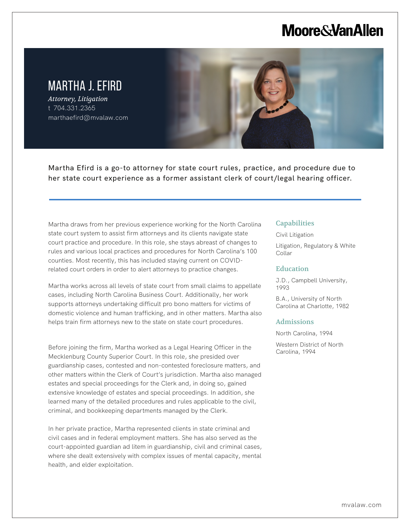# **Moore & Van Allen**

# MARTHA J. EFIRD

*Attorney, Litigation* t 704.331.2365 marthaefird@mvalaw.com

L

Martha Efird is a go-to attorney for state court rules, practice, and procedure due to her state court experience as a former assistant clerk of court/legal hearing officer.

Martha draws from her previous experience working for the North Carolina state court system to assist firm attorneys and its clients navigate state court practice and procedure. In this role, she stays abreast of changes to rules and various local practices and procedures for North Carolina's 100 counties. Most recently, this has included staying current on COVIDrelated court orders in order to alert attorneys to practice changes.

Martha works across all levels of state court from small claims to appellate cases, including North Carolina Business Court. Additionally, her work supports attorneys undertaking difficult pro bono matters for victims of domestic violence and human trafficking, and in other matters. Martha also helps train firm attorneys new to the state on state court procedures.

Before joining the firm, Martha worked as a Legal Hearing Officer in the Mecklenburg County Superior Court. In this role, she presided over guardianship cases, contested and non-contested foreclosure matters, and other matters within the Clerk of Court's jurisdiction. Martha also managed estates and special proceedings for the Clerk and, in doing so, gained extensive knowledge of estates and special proceedings. In addition, she learned many of the detailed procedures and rules applicable to the civil, criminal, and bookkeeping departments managed by the Clerk.

In her private practice, Martha represented clients in state criminal and civil cases and in federal employment matters. She has also served as the court-appointed guardian ad litem in guardianship, civil and criminal cases, where she dealt extensively with complex issues of mental capacity, mental health, and elder exploitation.

### **Capabilities**

Civil Litigation

Litigation, Regulatory & White Collar

#### Education

J.D., Campbell University, 1993

B.A., University of North Carolina at Charlotte, 1982

#### Admissions

North Carolina, 1994

Western District of North Carolina, 1994